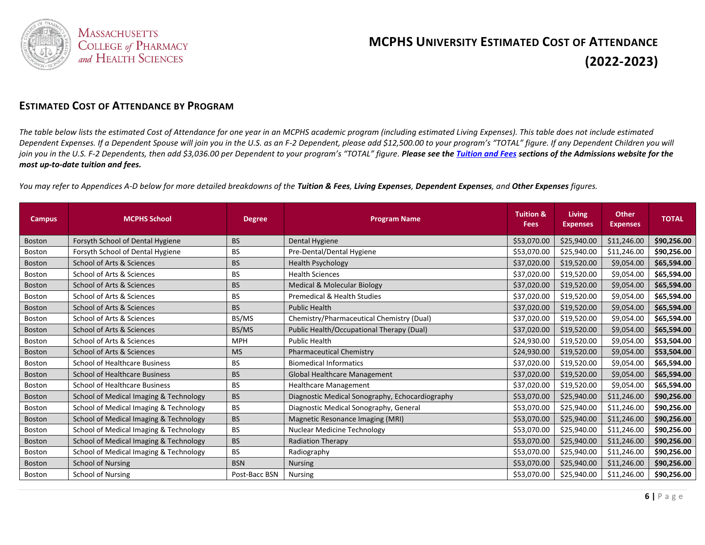

#### **ESTIMATED COST OF ATTENDANCE BY PROGRAM**

*The table below lists the estimated Cost of Attendance for one year in an MCPHS academic program (including estimated Living Expenses). This table does not include estimated Dependent Expenses. If a Dependent Spouse will join you in the U.S. as an F-2 Dependent, please add \$12,500.00 to your program's "TOTAL" figure. If any Dependent Children you will join you in the U.S. F-2 Dependents, then add \$3,036.00 per Dependent to your program's "TOTAL" figure. Please see the Tuition and Fees sections of the Admissions website for the most up-to-date tuition and fees.*

*You may refer to Appendices A-D below for more detailed breakdowns of the Tuition & Fees, Living Expenses, Dependent Expenses, and Other Expenses figures.*

| <b>Campus</b> | <b>MCPHS School</b>                    | <b>Degree</b> | <b>Program Name</b>                             | <b>Tuition &amp;</b><br><b>Fees</b> | <b>Living</b><br><b>Expenses</b> | <b>Other</b><br><b>Expenses</b> | <b>TOTAL</b> |
|---------------|----------------------------------------|---------------|-------------------------------------------------|-------------------------------------|----------------------------------|---------------------------------|--------------|
| <b>Boston</b> | Forsyth School of Dental Hygiene       | <b>BS</b>     | Dental Hygiene                                  | \$53,070.00                         | \$25,940.00                      | \$11,246.00                     | \$90,256.00  |
| <b>Boston</b> | Forsyth School of Dental Hygiene       | <b>BS</b>     | Pre-Dental/Dental Hygiene                       | \$53,070.00                         | \$25,940.00                      | \$11,246.00                     | \$90,256.00  |
| <b>Boston</b> | School of Arts & Sciences              | <b>BS</b>     | <b>Health Psychology</b>                        | \$37,020.00                         | \$19,520.00                      | \$9,054.00                      | \$65,594.00  |
| <b>Boston</b> | School of Arts & Sciences              | BS            | <b>Health Sciences</b>                          | \$37,020.00                         | \$19,520.00                      | \$9,054.00                      | \$65,594.00  |
| <b>Boston</b> | School of Arts & Sciences              | <b>BS</b>     | <b>Medical &amp; Molecular Biology</b>          | \$37,020.00                         | \$19,520.00                      | \$9,054.00                      | \$65,594.00  |
| <b>Boston</b> | School of Arts & Sciences              | <b>BS</b>     | Premedical & Health Studies                     | \$37,020.00                         | \$19,520.00                      | \$9,054.00                      | \$65,594.00  |
| <b>Boston</b> | School of Arts & Sciences              | <b>BS</b>     | <b>Public Health</b>                            | \$37,020.00                         | \$19,520.00                      | \$9,054.00                      | \$65,594.00  |
| <b>Boston</b> | School of Arts & Sciences              | BS/MS         | Chemistry/Pharmaceutical Chemistry (Dual)       | \$37,020.00                         | \$19,520.00                      | \$9,054.00                      | \$65,594.00  |
| <b>Boston</b> | School of Arts & Sciences              | BS/MS         | Public Health/Occupational Therapy (Dual)       | \$37,020.00                         | \$19,520.00                      | \$9,054.00                      | \$65,594.00  |
| <b>Boston</b> | School of Arts & Sciences              | <b>MPH</b>    | <b>Public Health</b>                            | \$24,930.00                         | \$19,520.00                      | \$9,054.00                      | \$53,504.00  |
| <b>Boston</b> | School of Arts & Sciences              | <b>MS</b>     | <b>Pharmaceutical Chemistry</b>                 | \$24,930.00                         | \$19,520.00                      | \$9,054.00                      | \$53,504.00  |
| <b>Boston</b> | <b>School of Healthcare Business</b>   | <b>BS</b>     | <b>Biomedical Informatics</b>                   | \$37,020.00                         | \$19,520.00                      | \$9,054.00                      | \$65,594.00  |
| <b>Boston</b> | <b>School of Healthcare Business</b>   | <b>BS</b>     | Global Healthcare Management                    | \$37,020.00                         | \$19,520.00                      | \$9,054.00                      | \$65,594.00  |
| <b>Boston</b> | <b>School of Healthcare Business</b>   | BS            | <b>Healthcare Management</b>                    | \$37,020.00                         | \$19,520.00                      | \$9,054.00                      | \$65,594.00  |
| Boston        | School of Medical Imaging & Technology | <b>BS</b>     | Diagnostic Medical Sonography, Echocardiography | \$53,070.00                         | \$25,940.00                      | \$11,246.00                     | \$90,256.00  |
| <b>Boston</b> | School of Medical Imaging & Technology | <b>BS</b>     | Diagnostic Medical Sonography, General          | \$53,070.00                         | \$25,940.00                      | \$11,246.00                     | \$90,256.00  |
| <b>Boston</b> | School of Medical Imaging & Technology | <b>BS</b>     | Magnetic Resonance Imaging (MRI)                | \$53,070.00                         | \$25,940.00                      | \$11,246.00                     | \$90,256.00  |
| Boston        | School of Medical Imaging & Technology | <b>BS</b>     | <b>Nuclear Medicine Technology</b>              | \$53,070.00                         | \$25,940.00                      | \$11,246.00                     | \$90,256.00  |
| <b>Boston</b> | School of Medical Imaging & Technology | <b>BS</b>     | <b>Radiation Therapy</b>                        | \$53,070.00                         | \$25,940.00                      | \$11,246.00                     | \$90,256.00  |
| <b>Boston</b> | School of Medical Imaging & Technology | <b>BS</b>     | Radiography                                     | \$53,070.00                         | \$25,940.00                      | \$11,246.00                     | \$90,256.00  |
| <b>Boston</b> | <b>School of Nursing</b>               | <b>BSN</b>    | <b>Nursing</b>                                  | \$53,070.00                         | \$25,940.00                      | \$11,246.00                     | \$90,256.00  |
| Boston        | School of Nursing                      | Post-Bacc BSN | <b>Nursing</b>                                  | \$53,070.00                         | \$25,940.00                      | \$11,246.00                     | \$90,256.00  |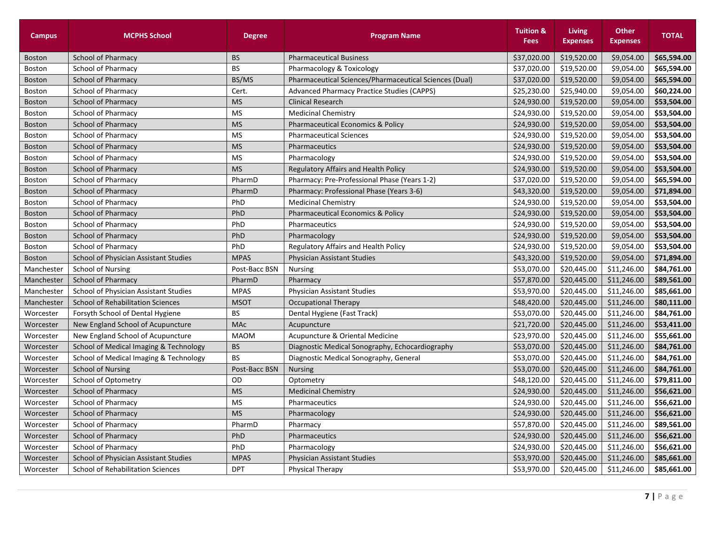| <b>Campus</b> | <b>MCPHS School</b>                      | <b>Degree</b> | <b>Program Name</b>                                    | <b>Tuition &amp;</b><br><b>Fees</b> | <b>Living</b><br><b>Expenses</b> | <b>Other</b><br><b>Expenses</b> | <b>TOTAL</b> |
|---------------|------------------------------------------|---------------|--------------------------------------------------------|-------------------------------------|----------------------------------|---------------------------------|--------------|
| <b>Boston</b> | <b>School of Pharmacy</b>                | <b>BS</b>     | <b>Pharmaceutical Business</b>                         | \$37,020.00                         | \$19,520.00                      | \$9,054.00                      | \$65,594.00  |
| <b>Boston</b> | School of Pharmacy                       | <b>BS</b>     | Pharmacology & Toxicology                              | \$37,020.00                         | \$19,520.00                      | \$9,054.00                      | \$65,594.00  |
| <b>Boston</b> | School of Pharmacy                       | BS/MS         | Pharmaceutical Sciences/Pharmaceutical Sciences (Dual) | \$37,020.00                         | \$19,520.00                      | \$9,054.00                      | \$65,594.00  |
| <b>Boston</b> | School of Pharmacy                       | Cert.         | <b>Advanced Pharmacy Practice Studies (CAPPS)</b>      | \$25,230.00                         | \$25,940.00                      | \$9,054.00                      | \$60,224.00  |
| <b>Boston</b> | <b>School of Pharmacy</b>                | <b>MS</b>     | <b>Clinical Research</b>                               | \$24,930.00                         | \$19,520.00                      | \$9,054.00                      | \$53,504.00  |
| Boston        | School of Pharmacy                       | <b>MS</b>     | <b>Medicinal Chemistry</b>                             | \$24,930.00                         | \$19,520.00                      | \$9,054.00                      | \$53,504.00  |
| <b>Boston</b> | School of Pharmacy                       | <b>MS</b>     | <b>Pharmaceutical Economics &amp; Policy</b>           | \$24,930.00                         | \$19,520.00                      | \$9,054.00                      | \$53,504.00  |
| <b>Boston</b> | School of Pharmacy                       | <b>MS</b>     | <b>Pharmaceutical Sciences</b>                         | \$24,930.00                         | \$19,520.00                      | \$9,054.00                      | \$53,504.00  |
| <b>Boston</b> | School of Pharmacy                       | <b>MS</b>     | Pharmaceutics                                          | \$24,930.00                         | \$19,520.00                      | \$9,054.00                      | \$53,504.00  |
| <b>Boston</b> | School of Pharmacy                       | <b>MS</b>     | Pharmacology                                           | \$24,930.00                         | \$19,520.00                      | \$9,054.00                      | \$53,504.00  |
| <b>Boston</b> | School of Pharmacy                       | <b>MS</b>     | <b>Regulatory Affairs and Health Policy</b>            | \$24,930.00                         | \$19,520.00                      | \$9,054.00                      | \$53,504.00  |
| <b>Boston</b> | School of Pharmacy                       | PharmD        | Pharmacy: Pre-Professional Phase (Years 1-2)           | \$37,020.00                         | \$19,520.00                      | \$9,054.00                      | \$65,594.00  |
| <b>Boston</b> | School of Pharmacy                       | PharmD        | Pharmacy: Professional Phase (Years 3-6)               | \$43,320.00                         | \$19,520.00                      | \$9,054.00                      | \$71,894.00  |
| <b>Boston</b> | School of Pharmacy                       | PhD           | <b>Medicinal Chemistry</b>                             | \$24,930.00                         | \$19,520.00                      | \$9,054.00                      | \$53,504.00  |
| <b>Boston</b> | School of Pharmacy                       | PhD           | <b>Pharmaceutical Economics &amp; Policy</b>           | \$24,930.00                         | \$19,520.00                      | \$9,054.00                      | \$53,504.00  |
| Boston        | School of Pharmacy                       | PhD           | Pharmaceutics                                          | \$24,930.00                         | \$19,520.00                      | \$9,054.00                      | \$53,504.00  |
| <b>Boston</b> | <b>School of Pharmacy</b>                | PhD           | Pharmacology                                           | \$24,930.00                         | \$19,520.00                      | \$9,054.00                      | \$53,504.00  |
| Boston        | School of Pharmacy                       | PhD           | Regulatory Affairs and Health Policy                   | \$24,930.00                         | \$19,520.00                      | \$9,054.00                      | \$53,504.00  |
| <b>Boston</b> | School of Physician Assistant Studies    | <b>MPAS</b>   | <b>Physician Assistant Studies</b>                     | \$43,320.00                         | \$19,520.00                      | \$9,054.00                      | \$71,894.00  |
| Manchester    | <b>School of Nursing</b>                 | Post-Bacc BSN | <b>Nursing</b>                                         | \$53,070.00                         | \$20,445.00                      | \$11,246.00                     | \$84,761.00  |
| Manchester    | <b>School of Pharmacy</b>                | PharmD        | Pharmacy                                               | \$57,870.00                         | \$20,445.00                      | \$11,246.00                     | \$89,561.00  |
| Manchester    | School of Physician Assistant Studies    | <b>MPAS</b>   | <b>Physician Assistant Studies</b>                     | \$53,970.00                         | \$20,445.00                      | \$11,246.00                     | \$85,661.00  |
| Manchester    | <b>School of Rehabilitation Sciences</b> | <b>MSOT</b>   | Occupational Therapy                                   | \$48,420.00                         | \$20,445.00                      | \$11,246.00                     | \$80,111.00  |
| Worcester     | Forsyth School of Dental Hygiene         | <b>BS</b>     | Dental Hygiene (Fast Track)                            | \$53,070.00                         | \$20,445.00                      | \$11,246.00                     | \$84,761.00  |
| Worcester     | New England School of Acupuncture        | <b>MAc</b>    | Acupuncture                                            | \$21,720.00                         | \$20,445.00                      | \$11,246.00                     | \$53,411.00  |
| Worcester     | New England School of Acupuncture        | <b>MAOM</b>   | Acupuncture & Oriental Medicine                        | \$23,970.00                         | \$20,445.00                      | \$11,246.00                     | \$55,661.00  |
| Worcester     | School of Medical Imaging & Technology   | <b>BS</b>     | Diagnostic Medical Sonography, Echocardiography        | \$53,070.00                         | \$20,445.00                      | \$11,246.00                     | \$84,761.00  |
| Worcester     | School of Medical Imaging & Technology   | <b>BS</b>     | Diagnostic Medical Sonography, General                 | \$53,070.00                         | \$20,445.00                      | \$11,246.00                     | \$84,761.00  |
| Worcester     | <b>School of Nursing</b>                 | Post-Bacc BSN | <b>Nursing</b>                                         | \$53,070.00                         | \$20,445.00                      | \$11,246.00                     | \$84,761.00  |
| Worcester     | School of Optometry                      | OD            | Optometry                                              | \$48,120.00                         | \$20,445.00                      | \$11,246.00                     | \$79,811.00  |
| Worcester     | School of Pharmacy                       | <b>MS</b>     | <b>Medicinal Chemistry</b>                             | \$24,930.00                         | \$20,445.00                      | \$11,246.00                     | \$56,621.00  |
| Worcester     | School of Pharmacy                       | <b>MS</b>     | Pharmaceutics                                          | \$24,930.00                         | \$20,445.00                      | \$11,246.00                     | \$56,621.00  |
| Worcester     | School of Pharmacy                       | <b>MS</b>     | Pharmacology                                           | \$24,930.00                         | \$20,445.00                      | \$11,246.00                     | \$56,621.00  |
| Worcester     | School of Pharmacy                       | PharmD        | Pharmacy                                               | \$57,870.00                         | \$20,445.00                      | \$11,246.00                     | \$89,561.00  |
| Worcester     | <b>School of Pharmacy</b>                | PhD           | Pharmaceutics                                          | \$24,930.00                         | \$20,445.00                      | \$11,246.00                     | \$56,621.00  |
| Worcester     | School of Pharmacy                       | PhD           | Pharmacology                                           | \$24,930.00                         | \$20,445.00                      | \$11,246.00                     | \$56,621.00  |
| Worcester     | School of Physician Assistant Studies    | <b>MPAS</b>   | <b>Physician Assistant Studies</b>                     | \$53,970.00                         | \$20,445.00                      | \$11,246.00                     | \$85,661.00  |
| Worcester     | <b>School of Rehabilitation Sciences</b> | <b>DPT</b>    | <b>Physical Therapy</b>                                | \$53,970.00                         | \$20,445.00                      | \$11,246.00                     | \$85,661.00  |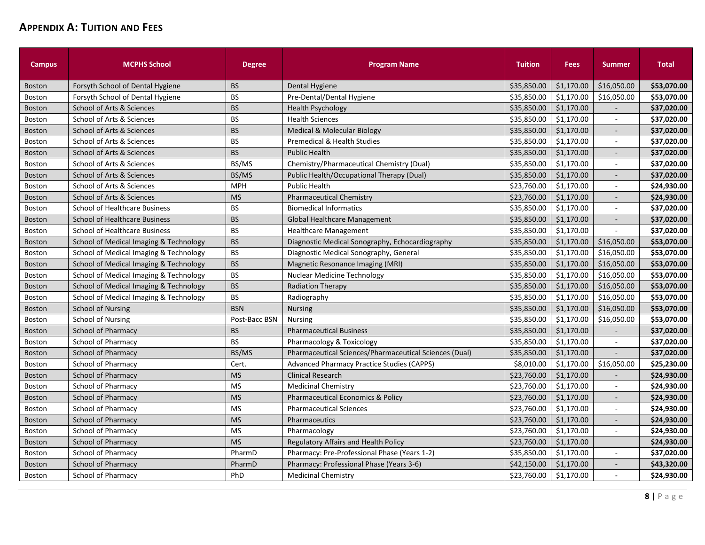## **APPENDIX A: TUITION AND FEES**

| <b>Campus</b> | <b>MCPHS School</b>                    | <b>Degree</b> | <b>Program Name</b>                                    | <b>Tuition</b> | <b>Fees</b> | <b>Summer</b>            | <b>Total</b> |
|---------------|----------------------------------------|---------------|--------------------------------------------------------|----------------|-------------|--------------------------|--------------|
| <b>Boston</b> | Forsyth School of Dental Hygiene       | <b>BS</b>     | Dental Hygiene                                         | \$35,850.00    | \$1,170.00  | \$16.050.00              | \$53.070.00  |
| <b>Boston</b> | Forsyth School of Dental Hygiene       | <b>BS</b>     | Pre-Dental/Dental Hygiene                              | \$35,850.00    | \$1,170.00  | \$16,050.00              | \$53,070.00  |
| <b>Boston</b> | School of Arts & Sciences              | <b>BS</b>     | <b>Health Psychology</b>                               | \$35,850.00    | \$1,170.00  |                          | \$37,020.00  |
| <b>Boston</b> | School of Arts & Sciences              | <b>BS</b>     | <b>Health Sciences</b>                                 | \$35,850.00    | \$1,170.00  | ÷                        | \$37,020.00  |
| <b>Boston</b> | School of Arts & Sciences              | <b>BS</b>     | <b>Medical &amp; Molecular Biology</b>                 | \$35,850.00    | \$1,170.00  |                          | \$37,020.00  |
| <b>Boston</b> | School of Arts & Sciences              | <b>BS</b>     | <b>Premedical &amp; Health Studies</b>                 | \$35,850.00    | \$1,170.00  | $\overline{\phantom{a}}$ | \$37,020.00  |
| <b>Boston</b> | School of Arts & Sciences              | <b>BS</b>     | <b>Public Health</b>                                   | \$35,850.00    | \$1,170.00  | $\overline{\phantom{a}}$ | \$37,020.00  |
| <b>Boston</b> | School of Arts & Sciences              | BS/MS         | Chemistry/Pharmaceutical Chemistry (Dual)              | \$35,850.00    | \$1,170.00  | $\blacksquare$           | \$37,020.00  |
| <b>Boston</b> | School of Arts & Sciences              | BS/MS         | Public Health/Occupational Therapy (Dual)              | \$35,850.00    | \$1,170.00  | $\blacksquare$           | \$37,020.00  |
| <b>Boston</b> | School of Arts & Sciences              | <b>MPH</b>    | <b>Public Health</b>                                   | \$23,760.00    | \$1,170.00  | $\mathbf{r}$             | \$24,930.00  |
| <b>Boston</b> | School of Arts & Sciences              | <b>MS</b>     | <b>Pharmaceutical Chemistry</b>                        | \$23,760.00    | \$1,170.00  | $\overline{a}$           | \$24,930.00  |
| Boston        | <b>School of Healthcare Business</b>   | <b>BS</b>     | <b>Biomedical Informatics</b>                          | \$35,850.00    | \$1,170.00  | $\sim$                   | \$37,020.00  |
| <b>Boston</b> | <b>School of Healthcare Business</b>   | <b>BS</b>     | <b>Global Healthcare Management</b>                    | \$35,850.00    | \$1,170.00  | $\overline{\phantom{a}}$ | \$37,020.00  |
| Boston        | <b>School of Healthcare Business</b>   | <b>BS</b>     | <b>Healthcare Management</b>                           | \$35,850.00    | \$1,170.00  |                          | \$37,020.00  |
| <b>Boston</b> | School of Medical Imaging & Technology | <b>BS</b>     | Diagnostic Medical Sonography, Echocardiography        | \$35,850.00    | \$1,170.00  | \$16,050.00              | \$53,070.00  |
| <b>Boston</b> | School of Medical Imaging & Technology | <b>BS</b>     | Diagnostic Medical Sonography, General                 | \$35,850.00    | \$1,170.00  | \$16,050.00              | \$53,070.00  |
| <b>Boston</b> | School of Medical Imaging & Technology | <b>BS</b>     | Magnetic Resonance Imaging (MRI)                       | \$35,850.00    | \$1,170.00  | \$16,050.00              | \$53,070.00  |
| <b>Boston</b> | School of Medical Imaging & Technology | <b>BS</b>     | <b>Nuclear Medicine Technology</b>                     | \$35,850.00    | \$1,170.00  | \$16,050.00              | \$53,070.00  |
| <b>Boston</b> | School of Medical Imaging & Technology | <b>BS</b>     | <b>Radiation Therapy</b>                               | \$35,850.00    | \$1,170.00  | \$16,050.00              | \$53,070.00  |
| <b>Boston</b> | School of Medical Imaging & Technology | <b>BS</b>     | Radiography                                            | \$35,850.00    | \$1,170.00  | \$16,050.00              | \$53,070.00  |
| <b>Boston</b> | <b>School of Nursing</b>               | <b>BSN</b>    | Nursing                                                | \$35,850.00    | \$1,170.00  | \$16,050.00              | \$53,070.00  |
| <b>Boston</b> | School of Nursing                      | Post-Bacc BSN | <b>Nursing</b>                                         | \$35,850.00    | \$1,170.00  | \$16,050.00              | \$53,070.00  |
| <b>Boston</b> | <b>School of Pharmacy</b>              | <b>BS</b>     | <b>Pharmaceutical Business</b>                         | \$35,850.00    | \$1,170.00  |                          | \$37,020.00  |
| <b>Boston</b> | School of Pharmacy                     | <b>BS</b>     | Pharmacology & Toxicology                              | \$35,850.00    | \$1,170.00  | $\sim$                   | \$37,020.00  |
| <b>Boston</b> | School of Pharmacy                     | BS/MS         | Pharmaceutical Sciences/Pharmaceutical Sciences (Dual) | \$35,850.00    | \$1,170.00  |                          | \$37,020.00  |
| Boston        | School of Pharmacy                     | Cert.         | <b>Advanced Pharmacy Practice Studies (CAPPS)</b>      | \$8,010.00     | \$1,170.00  | \$16,050.00              | \$25,230.00  |
| <b>Boston</b> | <b>School of Pharmacy</b>              | <b>MS</b>     | <b>Clinical Research</b>                               | \$23.760.00    | \$1.170.00  |                          | \$24,930.00  |
| <b>Boston</b> | School of Pharmacy                     | <b>MS</b>     | <b>Medicinal Chemistry</b>                             | \$23,760.00    | \$1,170.00  |                          | \$24,930.00  |
| <b>Boston</b> | <b>School of Pharmacy</b>              | <b>MS</b>     | <b>Pharmaceutical Economics &amp; Policy</b>           | \$23,760.00    | \$1,170.00  |                          | \$24,930.00  |
| <b>Boston</b> | School of Pharmacy                     | <b>MS</b>     | <b>Pharmaceutical Sciences</b>                         | \$23,760.00    | \$1,170.00  | $\sim$                   | \$24,930.00  |
| <b>Boston</b> | School of Pharmacy                     | <b>MS</b>     | Pharmaceutics                                          | \$23,760.00    | \$1,170.00  | $\overline{\phantom{a}}$ | \$24,930.00  |
| <b>Boston</b> | School of Pharmacy                     | <b>MS</b>     | Pharmacology                                           | \$23,760.00    | \$1,170.00  | $\sim$                   | \$24,930.00  |
| <b>Boston</b> | School of Pharmacy                     | <b>MS</b>     | Regulatory Affairs and Health Policy                   | \$23,760.00    | \$1,170.00  |                          | \$24,930.00  |
| <b>Boston</b> | School of Pharmacy                     | PharmD        | Pharmacy: Pre-Professional Phase (Years 1-2)           | \$35,850.00    | \$1,170.00  | $\mathbf{r}$             | \$37,020.00  |
| <b>Boston</b> | <b>School of Pharmacy</b>              | PharmD        | Pharmacy: Professional Phase (Years 3-6)               | \$42,150.00    | \$1,170.00  | $\overline{a}$           | \$43,320.00  |
| <b>Boston</b> | School of Pharmacy                     | PhD           | <b>Medicinal Chemistry</b>                             | \$23,760.00    | \$1,170.00  | $\overline{\phantom{a}}$ | \$24,930.00  |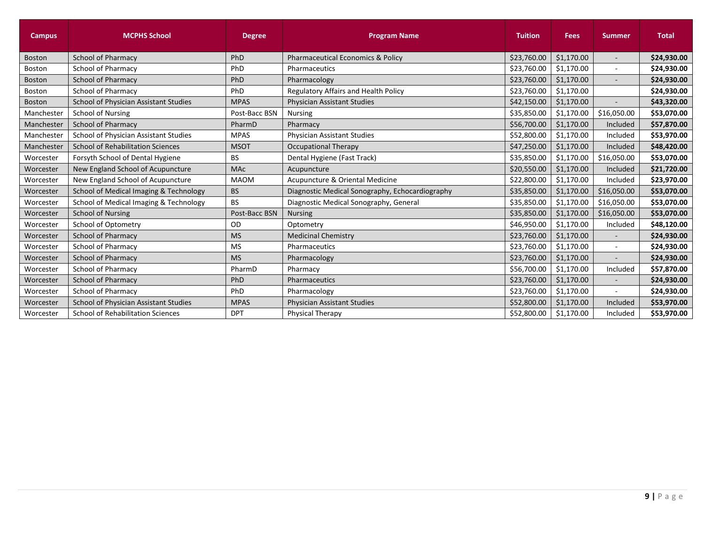| <b>Campus</b> | <b>MCPHS School</b>                      | <b>Degree</b> | <b>Program Name</b>                             | <b>Tuition</b> | <b>Fees</b> | <b>Summer</b>            | <b>Total</b> |
|---------------|------------------------------------------|---------------|-------------------------------------------------|----------------|-------------|--------------------------|--------------|
| <b>Boston</b> | <b>School of Pharmacy</b>                | PhD           | Pharmaceutical Economics & Policy               | \$23,760.00    | \$1,170.00  | $\overline{\phantom{a}}$ | \$24,930.00  |
| Boston        | <b>School of Pharmacy</b>                | PhD           | Pharmaceutics                                   | \$23,760.00    | \$1,170.00  | $\overline{\phantom{a}}$ | \$24,930.00  |
| <b>Boston</b> | <b>School of Pharmacy</b>                | PhD           | Pharmacology                                    | \$23,760.00    | \$1,170.00  |                          | \$24,930.00  |
| Boston        | School of Pharmacy                       | PhD           | Regulatory Affairs and Health Policy            | \$23,760.00    | \$1,170.00  |                          | \$24,930.00  |
| <b>Boston</b> | School of Physician Assistant Studies    | <b>MPAS</b>   | <b>Physician Assistant Studies</b>              | \$42,150.00    | \$1,170.00  |                          | \$43,320.00  |
| Manchester    | <b>School of Nursing</b>                 | Post-Bacc BSN | <b>Nursing</b>                                  | \$35,850.00    | \$1,170.00  | \$16,050.00              | \$53,070.00  |
| Manchester    | <b>School of Pharmacy</b>                | PharmD        | Pharmacy                                        | \$56,700.00    | \$1,170.00  | Included                 | \$57,870.00  |
| Manchester    | School of Physician Assistant Studies    | <b>MPAS</b>   | <b>Physician Assistant Studies</b>              | \$52,800.00    | \$1,170.00  | Included                 | \$53,970.00  |
| Manchester    | <b>School of Rehabilitation Sciences</b> | <b>MSOT</b>   | <b>Occupational Therapy</b>                     | \$47,250.00    | \$1,170.00  | Included                 | \$48,420.00  |
| Worcester     | Forsyth School of Dental Hygiene         | <b>BS</b>     | Dental Hygiene (Fast Track)                     | \$35,850.00    | \$1,170.00  | \$16,050.00              | \$53,070.00  |
| Worcester     | New England School of Acupuncture        | <b>MAc</b>    | Acupuncture                                     | \$20,550.00    | \$1,170.00  | Included                 | \$21,720.00  |
| Worcester     | New England School of Acupuncture        | <b>MAOM</b>   | Acupuncture & Oriental Medicine                 | \$22,800.00    | \$1,170.00  | Included                 | \$23,970.00  |
| Worcester     | School of Medical Imaging & Technology   | <b>BS</b>     | Diagnostic Medical Sonography, Echocardiography | \$35,850.00    | \$1,170.00  | \$16,050.00              | \$53,070.00  |
| Worcester     | School of Medical Imaging & Technology   | <b>BS</b>     | Diagnostic Medical Sonography, General          | \$35,850.00    | \$1,170.00  | \$16,050.00              | \$53,070.00  |
| Worcester     | <b>School of Nursing</b>                 | Post-Bacc BSN | <b>Nursing</b>                                  | \$35,850.00    | \$1,170.00  | \$16,050.00              | \$53,070.00  |
| Worcester     | School of Optometry                      | OD            | Optometry                                       | \$46,950.00    | \$1,170.00  | Included                 | \$48,120.00  |
| Worcester     | <b>School of Pharmacy</b>                | <b>MS</b>     | <b>Medicinal Chemistry</b>                      | \$23,760.00    | \$1,170.00  |                          | \$24,930.00  |
| Worcester     | School of Pharmacy                       | <b>MS</b>     | Pharmaceutics                                   | \$23,760.00    | \$1,170.00  | $\sim$                   | \$24,930.00  |
| Worcester     | <b>School of Pharmacy</b>                | <b>MS</b>     | Pharmacology                                    | \$23,760.00    | \$1,170.00  |                          | \$24,930.00  |
| Worcester     | School of Pharmacy                       | PharmD        | Pharmacy                                        | \$56,700.00    | \$1,170.00  | Included                 | \$57,870.00  |
| Worcester     | <b>School of Pharmacy</b>                | PhD           | Pharmaceutics                                   | \$23,760.00    | \$1,170.00  |                          | \$24,930.00  |
| Worcester     | <b>School of Pharmacy</b>                | PhD           | Pharmacology                                    | \$23,760.00    | \$1,170.00  |                          | \$24,930.00  |
| Worcester     | School of Physician Assistant Studies    | <b>MPAS</b>   | <b>Physician Assistant Studies</b>              | \$52,800.00    | \$1,170.00  | Included                 | \$53,970.00  |
| Worcester     | <b>School of Rehabilitation Sciences</b> | <b>DPT</b>    | <b>Physical Therapy</b>                         | \$52,800.00    | \$1,170.00  | Included                 | \$53,970.00  |